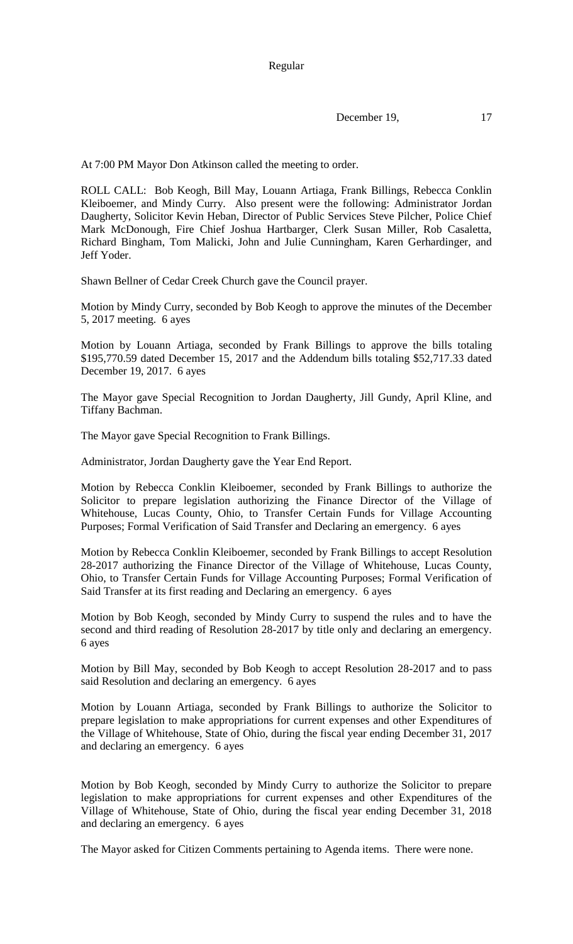Regular

December 19, 17

At 7:00 PM Mayor Don Atkinson called the meeting to order.

ROLL CALL: Bob Keogh, Bill May, Louann Artiaga, Frank Billings, Rebecca Conklin Kleiboemer, and Mindy Curry. Also present were the following: Administrator Jordan Daugherty, Solicitor Kevin Heban, Director of Public Services Steve Pilcher, Police Chief Mark McDonough, Fire Chief Joshua Hartbarger, Clerk Susan Miller, Rob Casaletta, Richard Bingham, Tom Malicki, John and Julie Cunningham, Karen Gerhardinger, and Jeff Yoder.

Shawn Bellner of Cedar Creek Church gave the Council prayer.

Motion by Mindy Curry, seconded by Bob Keogh to approve the minutes of the December 5, 2017 meeting. 6 ayes

Motion by Louann Artiaga, seconded by Frank Billings to approve the bills totaling \$195,770.59 dated December 15, 2017 and the Addendum bills totaling \$52,717.33 dated December 19, 2017. 6 ayes

The Mayor gave Special Recognition to Jordan Daugherty, Jill Gundy, April Kline, and Tiffany Bachman.

The Mayor gave Special Recognition to Frank Billings.

Administrator, Jordan Daugherty gave the Year End Report.

Motion by Rebecca Conklin Kleiboemer, seconded by Frank Billings to authorize the Solicitor to prepare legislation authorizing the Finance Director of the Village of Whitehouse, Lucas County, Ohio, to Transfer Certain Funds for Village Accounting Purposes; Formal Verification of Said Transfer and Declaring an emergency. 6 ayes

Motion by Rebecca Conklin Kleiboemer, seconded by Frank Billings to accept Resolution 28-2017 authorizing the Finance Director of the Village of Whitehouse, Lucas County, Ohio, to Transfer Certain Funds for Village Accounting Purposes; Formal Verification of Said Transfer at its first reading and Declaring an emergency. 6 ayes

Motion by Bob Keogh, seconded by Mindy Curry to suspend the rules and to have the second and third reading of Resolution 28-2017 by title only and declaring an emergency. 6 ayes

Motion by Bill May, seconded by Bob Keogh to accept Resolution 28-2017 and to pass said Resolution and declaring an emergency. 6 ayes

Motion by Louann Artiaga, seconded by Frank Billings to authorize the Solicitor to prepare legislation to make appropriations for current expenses and other Expenditures of the Village of Whitehouse, State of Ohio, during the fiscal year ending December 31, 2017 and declaring an emergency. 6 ayes

Motion by Bob Keogh, seconded by Mindy Curry to authorize the Solicitor to prepare legislation to make appropriations for current expenses and other Expenditures of the Village of Whitehouse, State of Ohio, during the fiscal year ending December 31, 2018 and declaring an emergency. 6 ayes

The Mayor asked for Citizen Comments pertaining to Agenda items. There were none.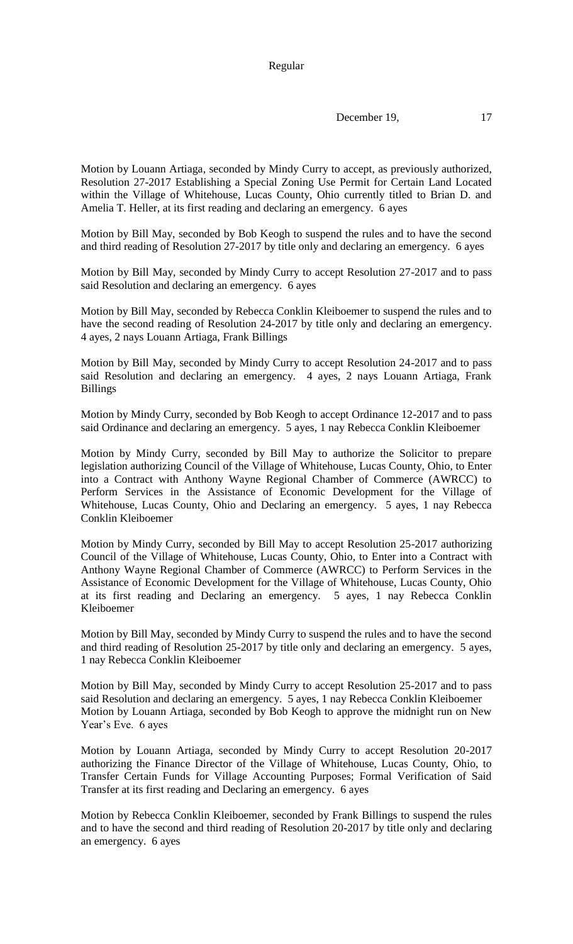December 19, 17

Motion by Louann Artiaga, seconded by Mindy Curry to accept, as previously authorized, Resolution 27-2017 Establishing a Special Zoning Use Permit for Certain Land Located within the Village of Whitehouse, Lucas County, Ohio currently titled to Brian D. and Amelia T. Heller, at its first reading and declaring an emergency. 6 ayes

Motion by Bill May, seconded by Bob Keogh to suspend the rules and to have the second and third reading of Resolution 27-2017 by title only and declaring an emergency. 6 ayes

Motion by Bill May, seconded by Mindy Curry to accept Resolution 27-2017 and to pass said Resolution and declaring an emergency. 6 ayes

Motion by Bill May, seconded by Rebecca Conklin Kleiboemer to suspend the rules and to have the second reading of Resolution 24-2017 by title only and declaring an emergency. 4 ayes, 2 nays Louann Artiaga, Frank Billings

Motion by Bill May, seconded by Mindy Curry to accept Resolution 24-2017 and to pass said Resolution and declaring an emergency. 4 ayes, 2 nays Louann Artiaga, Frank Billings

Motion by Mindy Curry, seconded by Bob Keogh to accept Ordinance 12-2017 and to pass said Ordinance and declaring an emergency. 5 ayes, 1 nay Rebecca Conklin Kleiboemer

Motion by Mindy Curry, seconded by Bill May to authorize the Solicitor to prepare legislation authorizing Council of the Village of Whitehouse, Lucas County, Ohio, to Enter into a Contract with Anthony Wayne Regional Chamber of Commerce (AWRCC) to Perform Services in the Assistance of Economic Development for the Village of Whitehouse, Lucas County, Ohio and Declaring an emergency. 5 ayes, 1 nay Rebecca Conklin Kleiboemer

Motion by Mindy Curry, seconded by Bill May to accept Resolution 25-2017 authorizing Council of the Village of Whitehouse, Lucas County, Ohio, to Enter into a Contract with Anthony Wayne Regional Chamber of Commerce (AWRCC) to Perform Services in the Assistance of Economic Development for the Village of Whitehouse, Lucas County, Ohio at its first reading and Declaring an emergency. 5 ayes, 1 nay Rebecca Conklin Kleiboemer

Motion by Bill May, seconded by Mindy Curry to suspend the rules and to have the second and third reading of Resolution 25-2017 by title only and declaring an emergency. 5 ayes, 1 nay Rebecca Conklin Kleiboemer

Motion by Bill May, seconded by Mindy Curry to accept Resolution 25-2017 and to pass said Resolution and declaring an emergency. 5 ayes, 1 nay Rebecca Conklin Kleiboemer Motion by Louann Artiaga, seconded by Bob Keogh to approve the midnight run on New Year's Eve. 6 ayes

Motion by Louann Artiaga, seconded by Mindy Curry to accept Resolution 20-2017 authorizing the Finance Director of the Village of Whitehouse, Lucas County, Ohio, to Transfer Certain Funds for Village Accounting Purposes; Formal Verification of Said Transfer at its first reading and Declaring an emergency. 6 ayes

Motion by Rebecca Conklin Kleiboemer, seconded by Frank Billings to suspend the rules and to have the second and third reading of Resolution 20-2017 by title only and declaring an emergency. 6 ayes